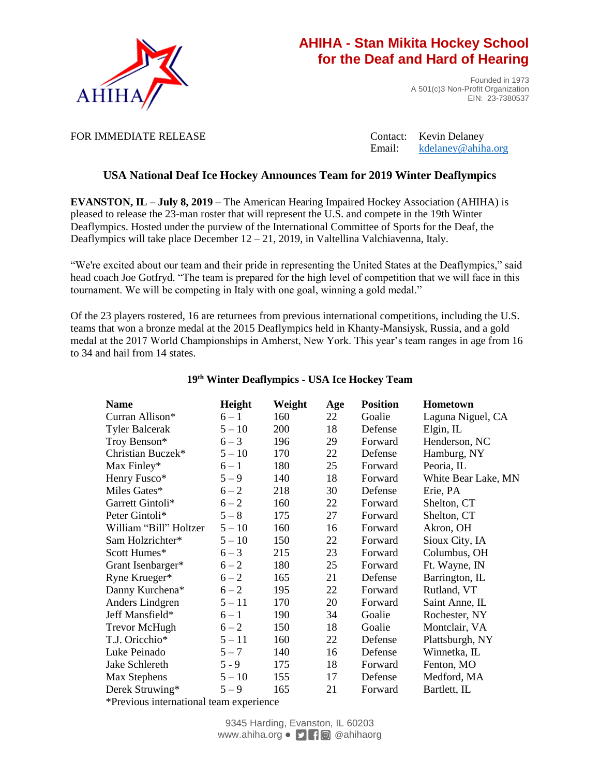

## **AHIHA - Stan Mikita Hockey School for the Deaf and Hard of Hearing**

Founded in 1973 A 501(c)3 Non-Profit Organization EIN: 23-7380537

FOR IMMEDIATE RELEASE Contact: Kevin Delaney

Email: [kdelaney@ahiha.org](mailto:kdelaney@ahiha.org)

### **USA National Deaf Ice Hockey Announces Team for 2019 Winter Deaflympics**

**EVANSTON, IL** – **July 8, 2019** – The American Hearing Impaired Hockey Association (AHIHA) is pleased to release the 23-man roster that will represent the U.S. and compete in the 19th Winter Deaflympics. Hosted under the purview of the International Committee of Sports for the Deaf, the Deaflympics will take place December  $12 - 21$ , 2019, in Valtellina Valchiavenna, Italy.

"We're excited about our team and their pride in representing the United States at the Deaflympics," said head coach Joe Gotfryd. "The team is prepared for the high level of competition that we will face in this tournament. We will be competing in Italy with one goal, winning a gold medal."

Of the 23 players rostered, 16 are returnees from previous international competitions, including the U.S. teams that won a bronze medal at the 2015 Deaflympics held in Khanty-Mansiysk, Russia, and a gold medal at the 2017 World Championships in Amherst, New York. This year's team ranges in age from 16 to 34 and hail from 14 states.

| <b>Name</b>            | Height   | Weight | Age | <b>Position</b> | Hometown            |
|------------------------|----------|--------|-----|-----------------|---------------------|
| Curran Allison*        | $6 - 1$  | 160    | 22  | Goalie          | Laguna Niguel, CA   |
| <b>Tyler Balcerak</b>  | $5 - 10$ | 200    | 18  | Defense         | Elgin, $IL$         |
| Troy Benson*           | $6 - 3$  | 196    | 29  | Forward         | Henderson, NC       |
| Christian Buczek*      | $5 - 10$ | 170    | 22  | Defense         | Hamburg, NY         |
| Max Finley*            | $6 - 1$  | 180    | 25  | Forward         | Peoria, IL          |
| Henry Fusco*           | $5 - 9$  | 140    | 18  | Forward         | White Bear Lake, MN |
| Miles Gates*           | $6 - 2$  | 218    | 30  | Defense         | Erie, PA            |
| Garrett Gintoli*       | $6 - 2$  | 160    | 22  | Forward         | Shelton, CT         |
| Peter Gintoli*         | $5 - 8$  | 175    | 27  | Forward         | Shelton, CT         |
| William "Bill" Holtzer | $5 - 10$ | 160    | 16  | Forward         | Akron, OH           |
| Sam Holzrichter*       | $5 - 10$ | 150    | 22  | Forward         | Sioux City, IA      |
| Scott Humes*           | $6 - 3$  | 215    | 23  | Forward         | Columbus, OH        |
| Grant Isenbarger*      | $6 - 2$  | 180    | 25  | Forward         | Ft. Wayne, IN       |
| Ryne Krueger*          | $6 - 2$  | 165    | 21  | Defense         | Barrington, IL      |
| Danny Kurchena*        | $6 - 2$  | 195    | 22  | Forward         | Rutland, VT         |
| Anders Lindgren        | $5 - 11$ | 170    | 20  | Forward         | Saint Anne, IL      |
| Jeff Mansfield*        | $6 - 1$  | 190    | 34  | Goalie          | Rochester, NY       |
| Trevor McHugh          | $6 - 2$  | 150    | 18  | Goalie          | Montclair, VA       |
| T.J. Oricchio*         | $5 - 11$ | 160    | 22  | Defense         | Plattsburgh, NY     |
| Luke Peinado           | $5 - 7$  | 140    | 16  | Defense         | Winnetka, IL        |
| Jake Schlereth         | $5 - 9$  | 175    | 18  | Forward         | Fenton, MO          |
| Max Stephens           | $5 - 10$ | 155    | 17  | Defense         | Medford, MA         |
| Derek Struwing*        | $5 - 9$  | 165    | 21  | Forward         | Bartlett, IL        |
|                        |          |        |     |                 |                     |

### **19th Winter Deaflympics - USA Ice Hockey Team**

\*Previous international team experience